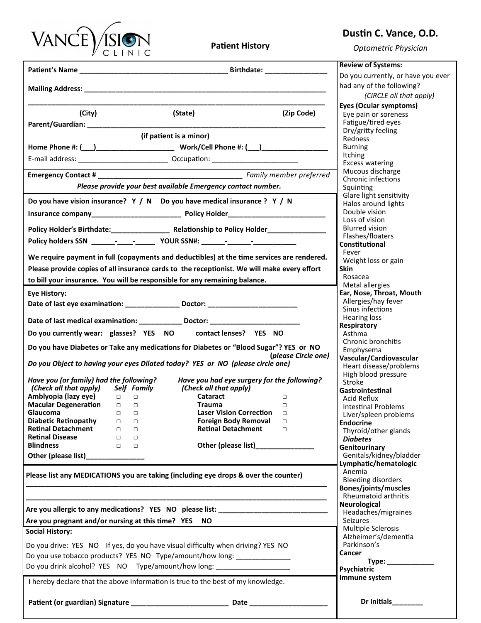

**Patient History**

## **Dustin C. Vance, O.D.**

*Optometric Physician*

|                                                                                                                                                                           | <b>Review of Systems:</b>                                                                  |
|---------------------------------------------------------------------------------------------------------------------------------------------------------------------------|--------------------------------------------------------------------------------------------|
|                                                                                                                                                                           | Do you currently, or have you ever<br>had any of the following?<br>(CIRCLE all that apply) |
| (City)<br>(State)<br>(Zip Code)                                                                                                                                           | Eyes (Ocular symptoms)<br>Eye pain or soreness                                             |
|                                                                                                                                                                           | Fatigue/tired eyes                                                                         |
| (if patient is a minor)                                                                                                                                                   | Dry/gritty feeling<br>Redness                                                              |
|                                                                                                                                                                           | <b>Burning</b>                                                                             |
| E-mail address: __________________________________ Occupation: __________________                                                                                         | <b>Itching</b>                                                                             |
|                                                                                                                                                                           | <b>Excess watering</b><br>Mucous discharge                                                 |
| Please provide your best available Emergency contact number.                                                                                                              | Chronic infections                                                                         |
|                                                                                                                                                                           | Squinting<br>Glare light sensitivity                                                       |
| Do you have vision insurance? $Y / N$ Do you have medical insurance ? $Y / N$                                                                                             | Halos around lights                                                                        |
|                                                                                                                                                                           | Double vision<br>Loss of vision                                                            |
| Policy Holder's Birthdate: Relationship to Policy Holder                                                                                                                  | <b>Blurred vision</b>                                                                      |
|                                                                                                                                                                           | Flashes/floaters<br>Constitutional                                                         |
|                                                                                                                                                                           | Fever                                                                                      |
| We require payment in full (copayments and deductibles) at the time services are rendered.                                                                                | Weight loss or gain<br><b>Skin</b>                                                         |
| Please provide copies of all insurance cards to the receptionist. We will make every effort<br>to bill your insurance. You will be responsible for any remaining balance. | Rosacea                                                                                    |
|                                                                                                                                                                           | Metal allergies                                                                            |
| <b>Eye History:</b>                                                                                                                                                       | Ear, Nose, Throat, Mouth<br>Allergies/hay fever                                            |
|                                                                                                                                                                           | Sinus infections                                                                           |
| Date of last medical examination: ____________ Doctor: _________________________                                                                                          | <b>Hearing loss</b><br>Respiratory                                                         |
| contact lenses? YES NO<br>Do you currently wear: glasses? YES NO                                                                                                          | Asthma                                                                                     |
| Do you have Diabetes or Take any medications for Diabetes or "Blood Sugar"? YES or NO                                                                                     | Chronic bronchitis<br>Emphysema                                                            |
| (please Circle one)<br>Do you Object to having your eyes Dilated today? YES or NO (please circle one)                                                                     | Vascular/Cardiovascular<br>Heart disease/problems                                          |
| Have you (or family) had the following?<br>Have you had eye surgery for the following?                                                                                    | High blood pressure                                                                        |
| (Check all that apply)<br>Self Family<br>(Check all that apply)                                                                                                           | Stroke<br>Gastrointestinal                                                                 |
| Amblyopia (lazy eye)<br>Cataract<br>$\Box$<br>$\Box$<br>$\Box$                                                                                                            | <b>Acid Reflux</b>                                                                         |
| <b>Macular Degeneration</b><br><b>Trauma</b><br>$\Box$ $\Box$<br>$\Box$<br><b>Laser Vision Correction</b><br>Glaucoma<br>$\Box$<br>$\Box$<br>$\Box$                       | Intestinal Problems<br>Liver/spleen problems                                               |
| <b>Foreign Body Removal</b><br><b>Diabetic Retinopathy</b><br>$\Box$<br>$\Box$<br>$\Box$                                                                                  | <b>Endocrine</b>                                                                           |
| <b>Retinal Detachment</b><br><b>Retinal Detachment</b><br>$\Box$<br>$\Box$<br>$\Box$<br><b>Retinal Disease</b><br>$\Box$<br>$\Box$                                        | Thyroid/other glands                                                                       |
| <b>Blindness</b><br>Other (please list)____________<br>$\Box$<br>$\Box$                                                                                                   | <b>Diabetes</b><br>Genitourinary                                                           |
| Other (please list)______________                                                                                                                                         | Genitals/kidney/bladder                                                                    |
| Please list any MEDICATIONS you are taking (including eye drops & over the counter)                                                                                       | Lymphatic/hematologic<br>Anemia                                                            |
|                                                                                                                                                                           | <b>Bleeding disorders</b><br>Bones/joints/muscles                                          |
|                                                                                                                                                                           | Rheumatoid arthritis                                                                       |
| Are you allergic to any medications? YES NO please list: ________________________                                                                                         | <b>Neurological</b><br>Headaches/migraines                                                 |
| Are you pregnant and/or nursing at this time? YES NO                                                                                                                      | Seizures                                                                                   |
| <b>Social History:</b>                                                                                                                                                    | <b>Multiple Sclerosis</b><br>Alzheimer's/dementia                                          |
| Do you drive: YES NO If yes, do you have visual difficulty when driving? YES NO                                                                                           | Parkinson's                                                                                |
| Do you use tobacco products? YES NO Type/amount/how long: ______________                                                                                                  | Cancer                                                                                     |
| Do you drink alcohol? YES NO Type/amount/how long: _______________________                                                                                                | Psychiatric                                                                                |
| I hereby declare that the above information is true to the best of my knowledge.                                                                                          | Immune system                                                                              |
|                                                                                                                                                                           | Dr Initials_________                                                                       |